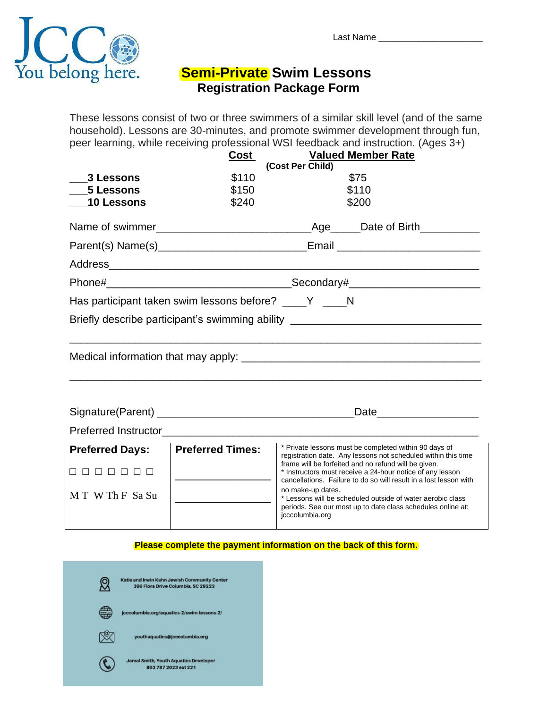

## **Semi-Private Swim Lessons Registration Package Form**

These lessons consist of two or three swimmers of a similar skill level (and of the same household). Lessons are 30-minutes, and promote swimmer development through fun, peer learning, while receiving professional WSI feedback and instruction. (Ages 3+)

|                        | <b>Cost</b>                                            | (Cost Per Child)                     | <b>Valued Member Rate</b>                                                                                                                                                              |
|------------------------|--------------------------------------------------------|--------------------------------------|----------------------------------------------------------------------------------------------------------------------------------------------------------------------------------------|
| 3 Lessons              | \$110                                                  |                                      | \$75                                                                                                                                                                                   |
| 5 Lessons              | \$150                                                  |                                      | \$110                                                                                                                                                                                  |
| 10 Lessons             | \$240                                                  |                                      | \$200                                                                                                                                                                                  |
|                        |                                                        |                                      |                                                                                                                                                                                        |
|                        |                                                        |                                      |                                                                                                                                                                                        |
|                        |                                                        |                                      |                                                                                                                                                                                        |
|                        |                                                        |                                      |                                                                                                                                                                                        |
|                        | Has participant taken swim lessons before? ____Y ____N |                                      |                                                                                                                                                                                        |
|                        |                                                        |                                      | Briefly describe participant's swimming ability ________________________________                                                                                                       |
|                        |                                                        |                                      |                                                                                                                                                                                        |
|                        |                                                        |                                      | Date <b>Date</b>                                                                                                                                                                       |
|                        |                                                        |                                      |                                                                                                                                                                                        |
| <b>Preferred Days:</b> | <b>Preferred Times:</b>                                |                                      | * Private lessons must be completed within 90 days of<br>registration date. Any lessons not scheduled within this time                                                                 |
| 000000                 |                                                        |                                      | frame will be forfeited and no refund will be given.<br>* Instructors must receive a 24-hour notice of any lesson<br>cancellations. Failure to do so will result in a lost lesson with |
| MT WThF Sa Su          |                                                        | no make-up dates.<br>jcccolumbia.org | * Lessons will be scheduled outside of water aerobic class<br>periods. See our most up to date class schedules online at:                                                              |

## **Please complete the payment information on the back of this form.**

| Katie and Irwin Kahn Jewish Community Center<br>306 Flora Drive Columbia, SC 29223 |
|------------------------------------------------------------------------------------|
| jcccolumbia.org/aquatics-2/swim-lessons-2/                                         |
| youthaquatics@jcccolumbia.org                                                      |
| <b>Jamal Smith, Youth Aquatics Developer</b><br>803 787 2023 ext 221               |